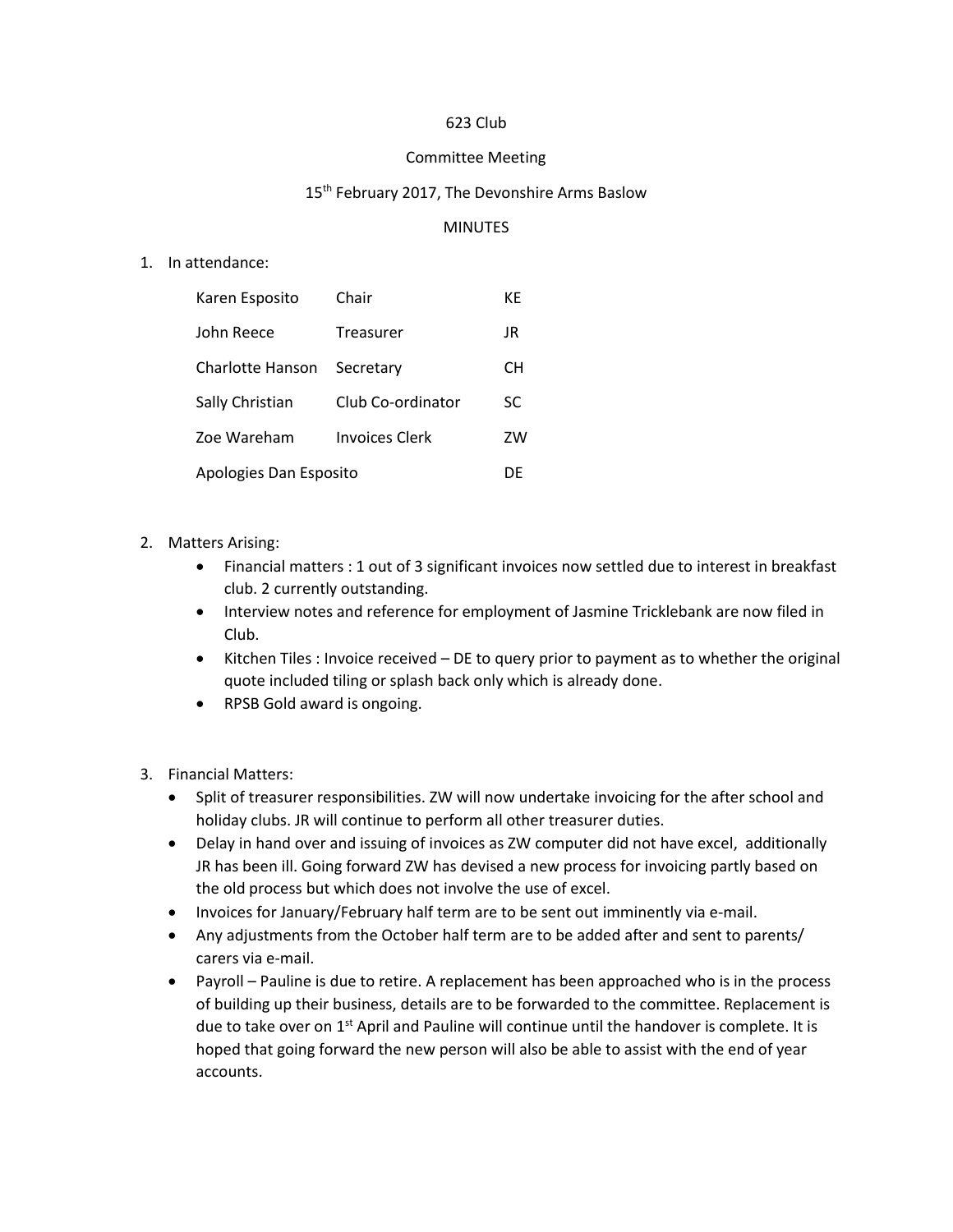# 623 Club

#### Committee Meeting

## 15<sup>th</sup> February 2017, The Devonshire Arms Baslow

## MINUTES

#### 1. In attendance:

| Karen Esposito         | Chair             | КE |
|------------------------|-------------------|----|
| John Reece             | Treasurer         | JR |
| Charlotte Hanson       | Secretary         | CН |
| Sally Christian        | Club Co-ordinator | SC |
| Zoe Wareham            | Invoices Clerk    | ZW |
| Apologies Dan Esposito |                   | DE |

## 2. Matters Arising:

- Financial matters : 1 out of 3 significant invoices now settled due to interest in breakfast club. 2 currently outstanding.
- Interview notes and reference for employment of Jasmine Tricklebank are now filed in Club.
- Kitchen Tiles : Invoice received DE to query prior to payment as to whether the original quote included tiling or splash back only which is already done.
- RPSB Gold award is ongoing.
- 3. Financial Matters:
	- Split of treasurer responsibilities. ZW will now undertake invoicing for the after school and holiday clubs. JR will continue to perform all other treasurer duties.
	- Delay in hand over and issuing of invoices as ZW computer did not have excel, additionally JR has been ill. Going forward ZW has devised a new process for invoicing partly based on the old process but which does not involve the use of excel.
	- Invoices for January/February half term are to be sent out imminently via e-mail.
	- Any adjustments from the October half term are to be added after and sent to parents/ carers via e-mail.
	- Payroll Pauline is due to retire. A replacement has been approached who is in the process of building up their business, details are to be forwarded to the committee. Replacement is due to take over on 1<sup>st</sup> April and Pauline will continue until the handover is complete. It is hoped that going forward the new person will also be able to assist with the end of year accounts.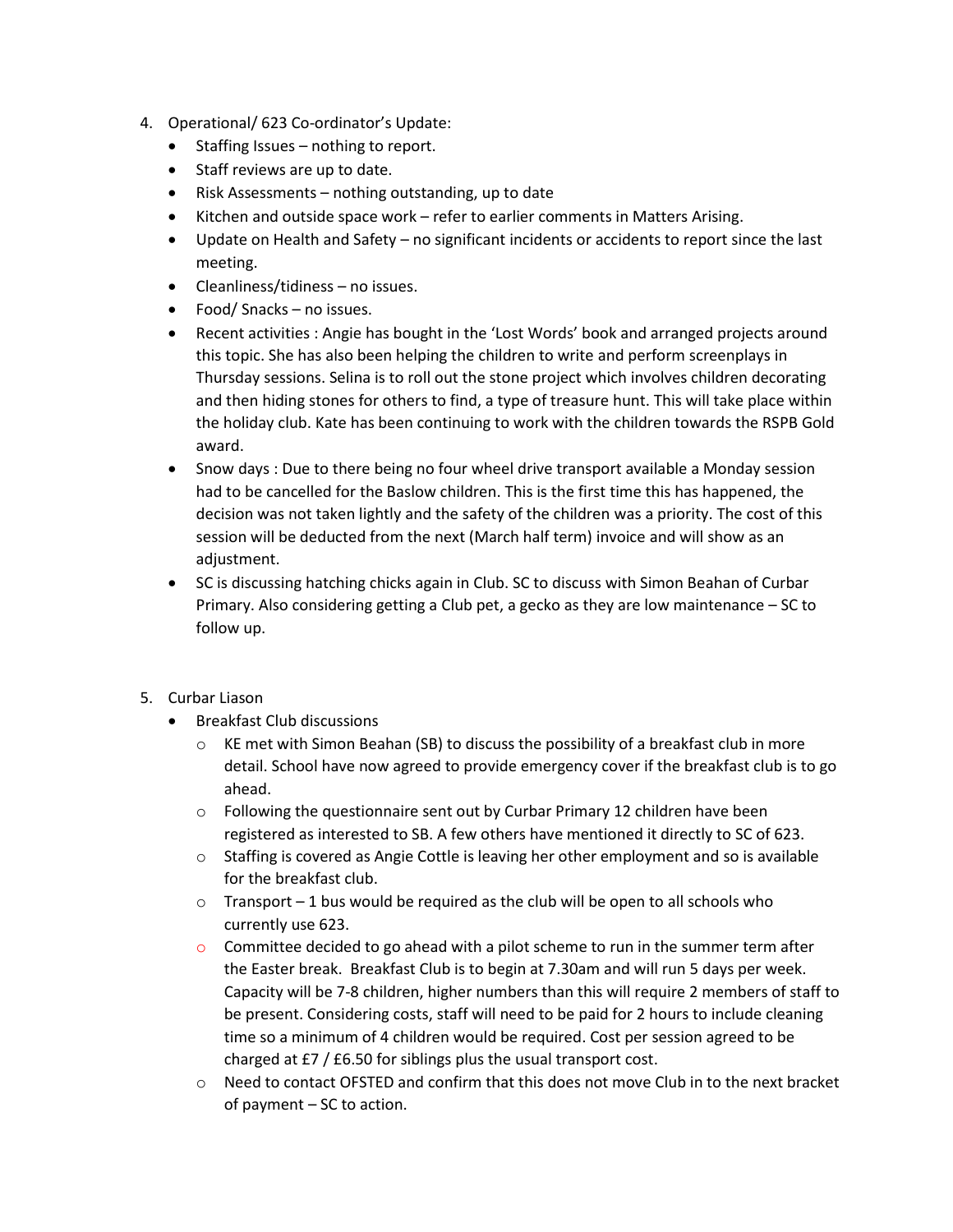- 4. Operational/ 623 Co-ordinator's Update:
	- Staffing Issues nothing to report.
	- Staff reviews are up to date.
	- Risk Assessments nothing outstanding, up to date
	- Kitchen and outside space work refer to earlier comments in Matters Arising.
	- Update on Health and Safety no significant incidents or accidents to report since the last meeting.
	- Cleanliness/tidiness no issues.
	- Food/ Snacks no issues.
	- Recent activities : Angie has bought in the 'Lost Words' book and arranged projects around this topic. She has also been helping the children to write and perform screenplays in Thursday sessions. Selina is to roll out the stone project which involves children decorating and then hiding stones for others to find, a type of treasure hunt. This will take place within the holiday club. Kate has been continuing to work with the children towards the RSPB Gold award.
	- Snow days : Due to there being no four wheel drive transport available a Monday session had to be cancelled for the Baslow children. This is the first time this has happened, the decision was not taken lightly and the safety of the children was a priority. The cost of this session will be deducted from the next (March half term) invoice and will show as an adjustment.
	- SC is discussing hatching chicks again in Club. SC to discuss with Simon Beahan of Curbar Primary. Also considering getting a Club pet, a gecko as they are low maintenance – SC to follow up.
- 5. Curbar Liason
	- Breakfast Club discussions
		- $\circ$  KE met with Simon Beahan (SB) to discuss the possibility of a breakfast club in more detail. School have now agreed to provide emergency cover if the breakfast club is to go ahead.
		- o Following the questionnaire sent out by Curbar Primary 12 children have been registered as interested to SB. A few others have mentioned it directly to SC of 623.
		- $\circ$  Staffing is covered as Angie Cottle is leaving her other employment and so is available for the breakfast club.
		- $\circ$  Transport 1 bus would be required as the club will be open to all schools who currently use 623.
		- $\circ$  Committee decided to go ahead with a pilot scheme to run in the summer term after the Easter break. Breakfast Club is to begin at 7.30am and will run 5 days per week. Capacity will be 7-8 children, higher numbers than this will require 2 members of staff to be present. Considering costs, staff will need to be paid for 2 hours to include cleaning time so a minimum of 4 children would be required. Cost per session agreed to be charged at £7 / £6.50 for siblings plus the usual transport cost.
		- o Need to contact OFSTED and confirm that this does not move Club in to the next bracket of payment – SC to action.